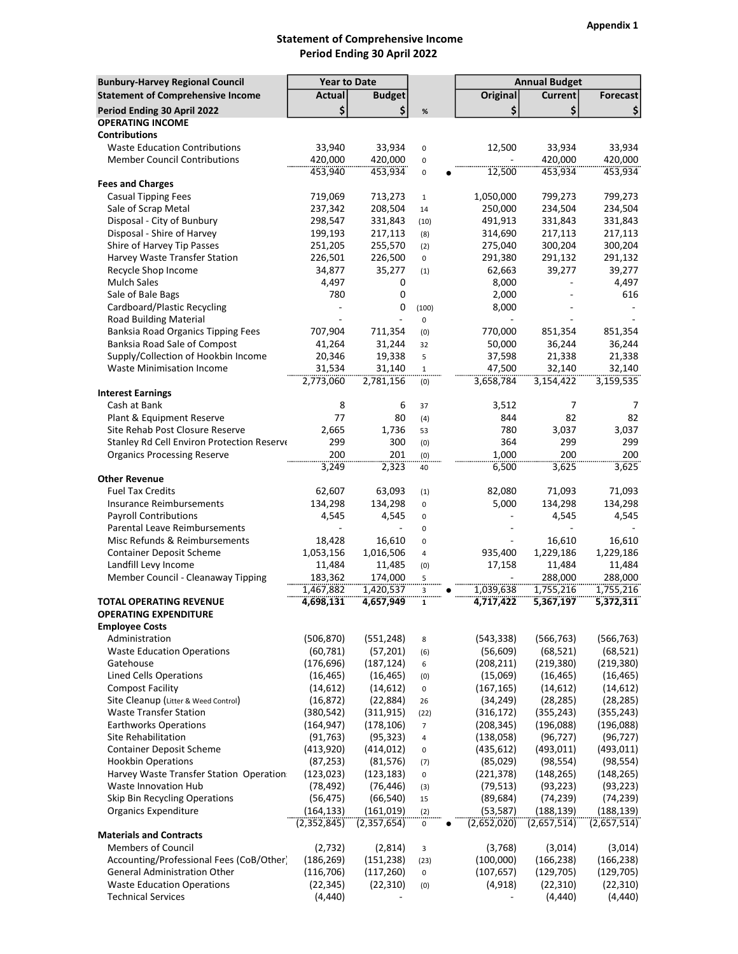## Statement of Comprehensive Income Period Ending 30 April 2022

| <b>Bunbury-Harvey Regional Council</b>                         | <b>Year to Date</b>      |                          |                     |                          | <b>Annual Budget</b>    |                         |  |  |
|----------------------------------------------------------------|--------------------------|--------------------------|---------------------|--------------------------|-------------------------|-------------------------|--|--|
| <b>Statement of Comprehensive Income</b>                       | Actual                   | <b>Budget</b>            |                     | <b>Original</b>          | <b>Current</b>          | <b>Forecast</b>         |  |  |
| Period Ending 30 April 2022                                    | \$                       | \$                       | $\%$                | \$                       | \$                      | \$                      |  |  |
| <b>OPERATING INCOME</b>                                        |                          |                          |                     |                          |                         |                         |  |  |
| <b>Contributions</b>                                           |                          |                          |                     |                          |                         |                         |  |  |
| <b>Waste Education Contributions</b>                           | 33,940                   | 33,934                   | $\pmb{0}$           | 12.500                   | 33,934                  | 33,934                  |  |  |
| <b>Member Council Contributions</b>                            | 420,000                  | 420,000                  | 0                   |                          | 420.000                 | 420,000                 |  |  |
|                                                                | 453,940                  | 453,934                  | 0                   | 12,500                   | 453,934                 | 453,934                 |  |  |
| <b>Fees and Charges</b>                                        |                          |                          |                     |                          |                         |                         |  |  |
| <b>Casual Tipping Fees</b>                                     | 719,069                  | 713,273                  | $\mathbf{1}$        | 1,050,000                | 799,273                 | 799,273                 |  |  |
| Sale of Scrap Metal                                            | 237,342                  | 208,504                  | 14                  | 250,000                  | 234,504<br>331,843      | 234,504                 |  |  |
| Disposal - City of Bunbury<br>Disposal - Shire of Harvey       | 298,547<br>199,193       | 331,843<br>217,113       | (10)<br>(8)         | 491,913<br>314,690       | 217,113                 | 331,843<br>217,113      |  |  |
| Shire of Harvey Tip Passes                                     | 251,205                  | 255,570                  | (2)                 | 275,040                  | 300,204                 | 300,204                 |  |  |
| Harvey Waste Transfer Station                                  | 226,501                  | 226,500                  | 0                   | 291,380                  | 291,132                 | 291,132                 |  |  |
| Recycle Shop Income                                            | 34,877                   | 35,277                   | (1)                 | 62,663                   | 39,277                  | 39,277                  |  |  |
| <b>Mulch Sales</b>                                             | 4,497                    | 0                        |                     | 8,000                    |                         | 4,497                   |  |  |
| Sale of Bale Bags                                              | 780                      | 0                        |                     | 2,000                    |                         | 616                     |  |  |
| Cardboard/Plastic Recycling                                    |                          | 0                        | (100)               | 8,000                    |                         |                         |  |  |
| <b>Road Building Material</b>                                  |                          |                          | $\mathsf 0$         |                          |                         |                         |  |  |
| Banksia Road Organics Tipping Fees                             | 707,904                  | 711,354                  | (0)                 | 770,000                  | 851,354                 | 851,354                 |  |  |
| Banksia Road Sale of Compost                                   | 41,264                   | 31,244                   | 32                  | 50,000                   | 36,244                  | 36,244                  |  |  |
| Supply/Collection of Hookbin Income                            | 20,346                   | 19,338                   | 5                   | 37,598                   | 21,338                  | 21,338                  |  |  |
| <b>Waste Minimisation Income</b>                               | 31,534                   | 31,140                   | $\mathbf{1}$        | 47,500                   | 32,140                  | 32,140                  |  |  |
| <b>Interest Earnings</b>                                       | 2,773,060                | 2,781,156                | (0)                 | 3,658,784                | 3,154,422               | 3,159,535               |  |  |
| Cash at Bank                                                   | 8                        | 6                        | 37                  | 3,512                    | 7                       | 7                       |  |  |
| Plant & Equipment Reserve                                      | 77                       | 80                       | (4)                 | 844                      | 82                      | 82                      |  |  |
| Site Rehab Post Closure Reserve                                | 2,665                    | 1,736                    | 53                  | 780                      | 3,037                   | 3,037                   |  |  |
| Stanley Rd Cell Environ Protection Reserve                     | 299                      | 300                      | (0)                 | 364                      | 299                     | 299                     |  |  |
| <b>Organics Processing Reserve</b>                             | 200                      | 201                      | (0)                 | 1,000                    | 200                     | 200                     |  |  |
|                                                                | <br>3,249                | 2,323                    | 40                  | 6,500                    | 3,625                   | 3,625                   |  |  |
| <b>Other Revenue</b>                                           |                          |                          |                     |                          |                         |                         |  |  |
| <b>Fuel Tax Credits</b>                                        | 62,607                   | 63,093                   | (1)                 | 82,080                   | 71,093                  | 71,093                  |  |  |
| <b>Insurance Reimbursements</b>                                | 134,298                  | 134,298                  | 0                   | 5,000                    | 134,298                 | 134,298                 |  |  |
| <b>Payroll Contributions</b>                                   | 4,545                    | 4,545                    | $\pmb{0}$           |                          | 4,545                   | 4,545                   |  |  |
| Parental Leave Reimbursements                                  |                          |                          | 0                   |                          |                         |                         |  |  |
| Misc Refunds & Reimbursements                                  | 18,428<br>1,053,156      | 16,610<br>1,016,506      | $\mathsf 0$         | 935,400                  | 16,610<br>1,229,186     | 16,610<br>1,229,186     |  |  |
| <b>Container Deposit Scheme</b><br>Landfill Levy Income        | 11,484                   | 11,485                   | 4                   | 17,158                   | 11,484                  | 11,484                  |  |  |
| Member Council - Cleanaway Tipping                             | 183,362                  | 174,000                  | (0)<br>5            |                          | 288,000                 | 288,000                 |  |  |
|                                                                | 1,467,882                | 1,420,537                | 3                   | 1,039,638                | 1,755,216               | 1,755,216               |  |  |
| <b>TOTAL OPERATING REVENUE</b>                                 | 4,698,131                | 4,657,949                | 1                   | 4,717,422                | 5,367,197               | 5,372,311               |  |  |
| <b>OPERATING EXPENDITURE</b>                                   |                          |                          |                     |                          |                         |                         |  |  |
| <b>Employee Costs</b>                                          |                          |                          |                     |                          |                         |                         |  |  |
| Administration                                                 | (506, 870)               | (551, 248)               | 8                   | (543, 338)               | (566, 763)              | (566, 763)              |  |  |
| <b>Waste Education Operations</b>                              | (60, 781)                | (57, 201)                | (6)                 | (56, 609)                | (68, 521)               | (68, 521)               |  |  |
| Gatehouse                                                      | (176, 696)               | (187, 124)               | 6                   | (208, 211)               | (219, 380)              | (219, 380)              |  |  |
| Lined Cells Operations                                         | (16, 465)                | (16, 465)                | (0)                 | (15,069)                 | (16, 465)               | (16, 465)               |  |  |
| <b>Compost Facility</b>                                        | (14, 612)                | (14, 612)                | 0                   | (167, 165)               | (14, 612)               | (14, 612)               |  |  |
| Site Cleanup (Litter & Weed Control)                           | (16, 872)                | (22, 884)                | 26                  | (34, 249)                | (28, 285)               | (28, 285)               |  |  |
| <b>Waste Transfer Station</b><br><b>Earthworks Operations</b>  | (380, 542)<br>(164, 947) | (311, 915)<br>(178, 106) | (22)                | (316, 172)<br>(208, 345) | (355, 243)<br>(196,088) | (355, 243)<br>(196,088) |  |  |
| Site Rehabilitation                                            | (91, 763)                | (95, 323)                | $\overline{7}$<br>4 | (138,058)                | (96, 727)               | (96, 727)               |  |  |
| <b>Container Deposit Scheme</b>                                | (413, 920)               | (414, 012)               | 0                   | (435, 612)               | (493, 011)              | (493, 011)              |  |  |
| <b>Hookbin Operations</b>                                      | (87, 253)                | (81, 576)                | (7)                 | (85,029)                 | (98, 554)               | (98, 554)               |  |  |
| Harvey Waste Transfer Station Operation:                       | (123, 023)               | (123, 183)               | 0                   | (221, 378)               | (148, 265)              | (148, 265)              |  |  |
| Waste Innovation Hub                                           | (78, 492)                | (76, 446)                | (3)                 | (79, 513)                | (93, 223)               | (93, 223)               |  |  |
| Skip Bin Recycling Operations                                  | (56, 475)                | (66, 540)                | 15                  | (89, 684)                | (74, 239)               | (74, 239)               |  |  |
| <b>Organics Expenditure</b>                                    | (164, 133)               | (161, 019)               | (2)                 | (53, 587)                | (188, 139)              | (188, 139)              |  |  |
|                                                                | (2,352,845)              | (2,357,654)              | 0                   | (2,652,020)              | (2,657,514)             | (2,657,514)             |  |  |
| <b>Materials and Contracts</b>                                 |                          |                          |                     |                          |                         |                         |  |  |
| <b>Members of Council</b>                                      | (2,732)                  | (2,814)                  | 3                   | (3,768)                  | (3,014)                 | (3,014)                 |  |  |
| Accounting/Professional Fees (CoB/Other)                       | (186, 269)               | (151, 238)               | (23)                | (100,000)                | (166, 238)              | (166, 238)              |  |  |
| <b>General Administration Other</b>                            | (116, 706)               | (117, 260)               | 0                   | (107, 657)               | (129, 705)              | (129, 705)              |  |  |
| <b>Waste Education Operations</b><br><b>Technical Services</b> | (22, 345)<br>(4, 440)    | (22, 310)                | (0)                 | (4, 918)                 | (22, 310)<br>(4, 440)   | (22, 310)<br>(4, 440)   |  |  |
|                                                                |                          |                          |                     |                          |                         |                         |  |  |